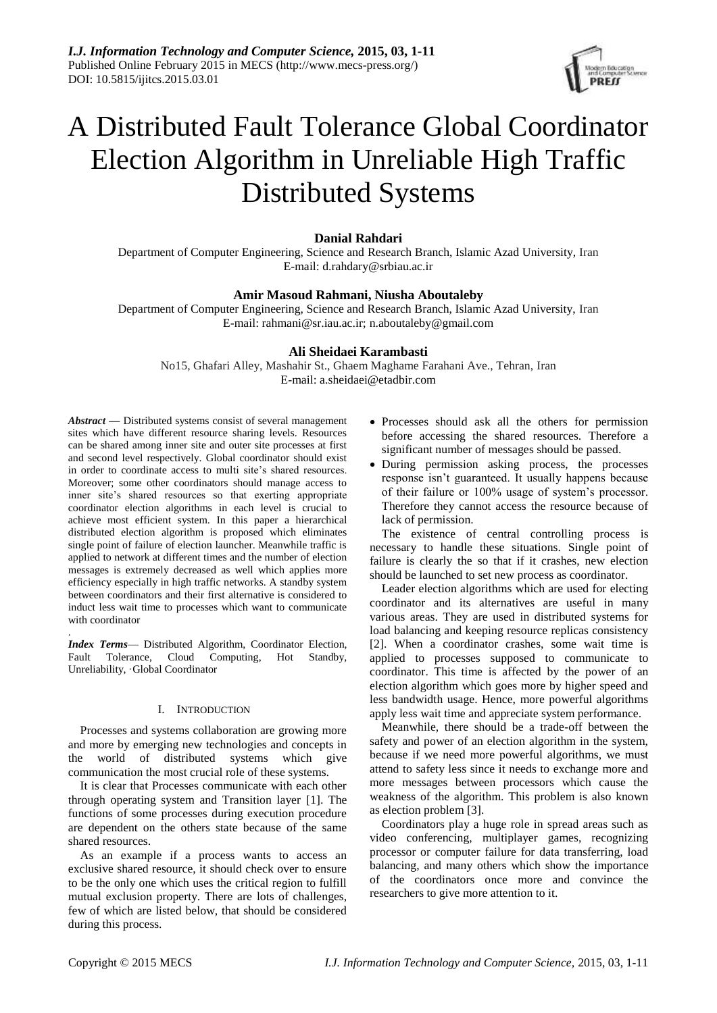

# A Distributed Fault Tolerance Global Coordinator Election Algorithm in Unreliable High Traffic Distributed Systems

# **Danial Rahdari**

Department of Computer Engineering, Science and Research Branch, Islamic Azad University, Iran E-mail: d.rahdary@srbiau.ac.ir

# **Amir Masoud Rahmani, Niusha Aboutaleby**

Department of Computer Engineering, Science and Research Branch, Islamic Azad University, Iran E-mail: rahmani@sr.iau.ac.ir; n.aboutaleby@gmail.com

# **Ali Sheidaei Karambasti**

No15, Ghafari Alley, Mashahir St., Ghaem Maghame Farahani Ave., Tehran, Iran E-mail: a.sheidaei@etadbir.com

*Abstract —* Distributed systems consist of several management sites which have different resource sharing levels. Resources can be shared among inner site and outer site processes at first and second level respectively. Global coordinator should exist in order to coordinate access to multi site's shared resources. Moreover; some other coordinators should manage access to inner site's shared resources so that exerting appropriate coordinator election algorithms in each level is crucial to achieve most efficient system. In this paper a hierarchical distributed election algorithm is proposed which eliminates single point of failure of election launcher. Meanwhile traffic is applied to network at different times and the number of election messages is extremely decreased as well which applies more efficiency especially in high traffic networks. A standby system between coordinators and their first alternative is considered to induct less wait time to processes which want to communicate with coordinator

*Index Terms*— Distributed Algorithm, Coordinator Election, Fault Tolerance, Cloud Computing, Hot Standby, Unreliability, Global Coordinator

## I. INTRODUCTION

Processes and systems collaboration are growing more and more by emerging new technologies and concepts in the world of distributed systems which give communication the most crucial role of these systems.

It is clear that Processes communicate with each other through operating system and Transition layer [1]. The functions of some processes during execution procedure are dependent on the others state because of the same shared resources.

As an example if a process wants to access an exclusive shared resource, it should check over to ensure to be the only one which uses the critical region to fulfill mutual exclusion property. There are lots of challenges, few of which are listed below, that should be considered during this process.

- Processes should ask all the others for permission before accessing the shared resources. Therefore a significant number of messages should be passed.
- During permission asking process, the processes response isn't guaranteed. It usually happens because of their failure or 100% usage of system's processor. Therefore they cannot access the resource because of lack of permission.

The existence of central controlling process is necessary to handle these situations. Single point of failure is clearly the so that if it crashes, new election should be launched to set new process as coordinator.

Leader election algorithms which are used for electing coordinator and its alternatives are useful in many various areas. They are used in distributed systems for load balancing and keeping resource replicas consistency [2]. When a coordinator crashes, some wait time is applied to processes supposed to communicate to coordinator. This time is affected by the power of an election algorithm which goes more by higher speed and less bandwidth usage. Hence, more powerful algorithms apply less wait time and appreciate system performance.

Meanwhile, there should be a trade-off between the safety and power of an election algorithm in the system, because if we need more powerful algorithms, we must attend to safety less since it needs to exchange more and more messages between processors which cause the weakness of the algorithm. This problem is also known as election problem [3].

Coordinators play a huge role in spread areas such as video conferencing, multiplayer games, recognizing processor or computer failure for data transferring, load balancing, and many others which show the importance of the coordinators once more and convince the researchers to give more attention to it.

.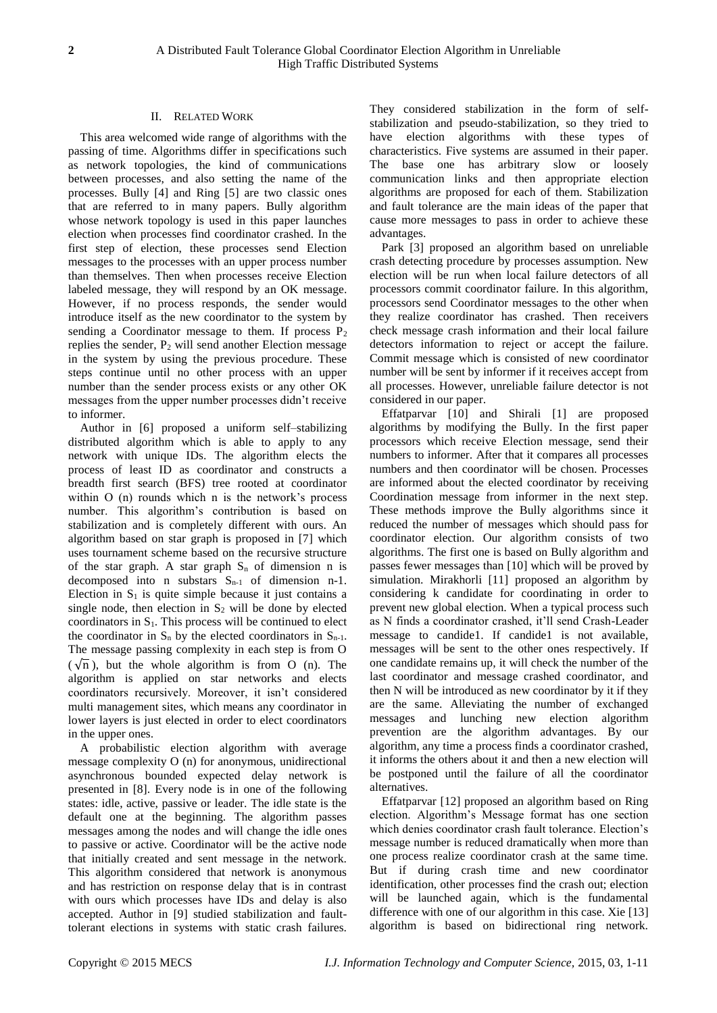# II. RELATED WORK

This area welcomed wide range of algorithms with the passing of time. Algorithms differ in specifications such as network topologies, the kind of communications between processes, and also setting the name of the processes. Bully [4] and Ring [5] are two classic ones that are referred to in many papers. Bully algorithm whose network topology is used in this paper launches election when processes find coordinator crashed. In the first step of election, these processes send Election messages to the processes with an upper process number than themselves. Then when processes receive Election labeled message, they will respond by an OK message. However, if no process responds, the sender would introduce itself as the new coordinator to the system by sending a Coordinator message to them. If process  $P_2$ replies the sender, P<sup>2</sup> will send another Election message in the system by using the previous procedure. These steps continue until no other process with an upper number than the sender process exists or any other OK messages from the upper number processes didn't receive to informer.

Author in [6] proposed a uniform self–stabilizing distributed algorithm which is able to apply to any network with unique IDs. The algorithm elects the process of least ID as coordinator and constructs a breadth first search (BFS) tree rooted at coordinator within O (n) rounds which n is the network's process number. This algorithm's contribution is based on stabilization and is completely different with ours. An algorithm based on star graph is proposed in [7] which uses tournament scheme based on the recursive structure of the star graph. A star graph  $S_n$  of dimension n is decomposed into n substars  $S_{n-1}$  of dimension n-1. Election in  $S_1$  is quite simple because it just contains a single node, then election in  $S_2$  will be done by elected coordinators in  $S<sub>1</sub>$ . This process will be continued to elect the coordinator in  $S_n$  by the elected coordinators in  $S_{n-1}$ . The message passing complexity in each step is from O  $(\sqrt{n})$ , but the whole algorithm is from O (n). The algorithm is applied on star networks and elects coordinators recursively. Moreover, it isn't considered multi management sites, which means any coordinator in lower layers is just elected in order to elect coordinators in the upper ones.

A probabilistic election algorithm with average message complexity O (n) for anonymous, unidirectional asynchronous bounded expected delay network is presented in [8]. Every node is in one of the following states: idle, active, passive or leader. The idle state is the default one at the beginning. The algorithm passes messages among the nodes and will change the idle ones to passive or active. Coordinator will be the active node that initially created and sent message in the network. This algorithm considered that network is anonymous and has restriction on response delay that is in contrast with ours which processes have IDs and delay is also accepted. Author in [9] studied stabilization and faulttolerant elections in systems with static crash failures.

They considered stabilization in the form of selfstabilization and pseudo-stabilization, so they tried to have election algorithms with these types of characteristics. Five systems are assumed in their paper. The base one has arbitrary slow or loosely communication links and then appropriate election algorithms are proposed for each of them. Stabilization and fault tolerance are the main ideas of the paper that cause more messages to pass in order to achieve these advantages.

Park [3] proposed an algorithm based on unreliable crash detecting procedure by processes assumption. New election will be run when local failure detectors of all processors commit coordinator failure. In this algorithm, processors send Coordinator messages to the other when they realize coordinator has crashed. Then receivers check message crash information and their local failure detectors information to reject or accept the failure. Commit message which is consisted of new coordinator number will be sent by informer if it receives accept from all processes. However, unreliable failure detector is not considered in our paper.

Effatparvar [10] and Shirali [1] are proposed algorithms by modifying the Bully. In the first paper processors which receive Election message, send their numbers to informer. After that it compares all processes numbers and then coordinator will be chosen. Processes are informed about the elected coordinator by receiving Coordination message from informer in the next step. These methods improve the Bully algorithms since it reduced the number of messages which should pass for coordinator election. Our algorithm consists of two algorithms. The first one is based on Bully algorithm and passes fewer messages than [10] which will be proved by simulation. Mirakhorli [11] proposed an algorithm by considering k candidate for coordinating in order to prevent new global election. When a typical process such as N finds a coordinator crashed, it'll send Crash-Leader message to candide1. If candide1 is not available, messages will be sent to the other ones respectively. If one candidate remains up, it will check the number of the last coordinator and message crashed coordinator, and then N will be introduced as new coordinator by it if they are the same. Alleviating the number of exchanged messages and lunching new election algorithm prevention are the algorithm advantages. By our algorithm, any time a process finds a coordinator crashed, it informs the others about it and then a new election will be postponed until the failure of all the coordinator alternatives.

Effatparvar [12] proposed an algorithm based on Ring election. Algorithm's Message format has one section which denies coordinator crash fault tolerance. Election's message number is reduced dramatically when more than one process realize coordinator crash at the same time. But if during crash time and new coordinator identification, other processes find the crash out; election will be launched again, which is the fundamental difference with one of our algorithm in this case. Xie [13] algorithm is based on bidirectional ring network.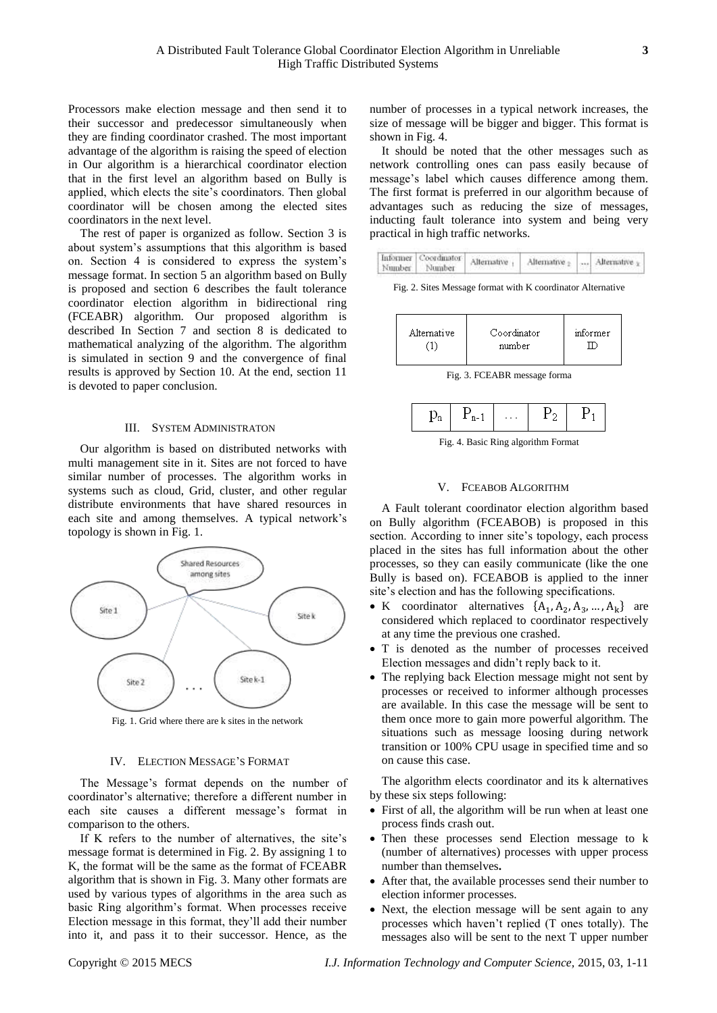Processors make election message and then send it to their successor and predecessor simultaneously when they are finding coordinator crashed. The most important advantage of the algorithm is raising the speed of election in Our algorithm is a hierarchical coordinator election that in the first level an algorithm based on Bully is applied, which elects the site's coordinators. Then global coordinator will be chosen among the elected sites coordinators in the next level.

The rest of paper is organized as follow. Section 3 is about system's assumptions that this algorithm is based on. Section 4 is considered to express the system's message format. In section 5 an algorithm based on Bully is proposed and section 6 describes the fault tolerance coordinator election algorithm in bidirectional ring (FCEABR) algorithm. Our proposed algorithm is described In Section 7 and section 8 is dedicated to mathematical analyzing of the algorithm. The algorithm is simulated in section 9 and the convergence of final results is approved by Section 10. At the end, section 11 is devoted to paper conclusion.

## III. SYSTEM ADMINISTRATON

Our algorithm is based on distributed networks with multi management site in it. Sites are not forced to have similar number of processes. The algorithm works in systems such as cloud, Grid, cluster, and other regular distribute environments that have shared resources in each site and among themselves. A typical network's topology is shown in Fig. 1.



Fig. 1. Grid where there are k sites in the network

#### IV. ELECTION MESSAGE'S FORMAT

The Message's format depends on the number of coordinator's alternative; therefore a different number in each site causes a different message's format in comparison to the others.

If K refers to the number of alternatives, the site's message format is determined in Fig. 2. By assigning 1 to K, the format will be the same as the format of FCEABR algorithm that is shown in Fig. 3. Many other formats are used by various types of algorithms in the area such as basic Ring algorithm's format. When processes receive Election message in this format, they'll add their number into it, and pass it to their successor. Hence, as the

number of processes in a typical network increases, the size of message will be bigger and bigger. This format is shown in Fig. 4.

It should be noted that the other messages such as network controlling ones can pass easily because of message's label which causes difference among them. The first format is preferred in our algorithm because of advantages such as reducing the size of messages, inducting fault tolerance into system and being very practical in high traffic networks.

|  | Informer Coordinator<br>Number Number | Alternative | Alternative |  | Alternative |
|--|---------------------------------------|-------------|-------------|--|-------------|
|--|---------------------------------------|-------------|-------------|--|-------------|

Fig. 2. Sites Message format with K coordinator Alternative

| Alternative | Coordinator<br>number | informer |
|-------------|-----------------------|----------|
|             |                       |          |

Fig. 3. FCEABR message forma

|--|

Fig. 4. Basic Ring algorithm Format

## V. FCEABOB ALGORITHM

A Fault tolerant coordinator election algorithm based on Bully algorithm (FCEABOB) is proposed in this section. According to inner site's topology, each process placed in the sites has full information about the other processes, so they can easily communicate (like the one Bully is based on). FCEABOB is applied to the inner site's election and has the following specifications.

- K coordinator alternatives  $\{A_1, A_2, A_3, ..., A_k\}$  are considered which replaced to coordinator respectively at any time the previous one crashed.
- T is denoted as the number of processes received Election messages and didn't reply back to it.
- The replying back Election message might not sent by processes or received to informer although processes are available. In this case the message will be sent to them once more to gain more powerful algorithm. The situations such as message loosing during network transition or 100% CPU usage in specified time and so on cause this case.

The algorithm elects coordinator and its k alternatives by these six steps following:

- First of all, the algorithm will be run when at least one process finds crash out.
- Then these processes send Election message to k (number of alternatives) processes with upper process number than themselves**.**
- After that, the available processes send their number to election informer processes.
- Next, the election message will be sent again to any processes which haven't replied (T ones totally). The messages also will be sent to the next T upper number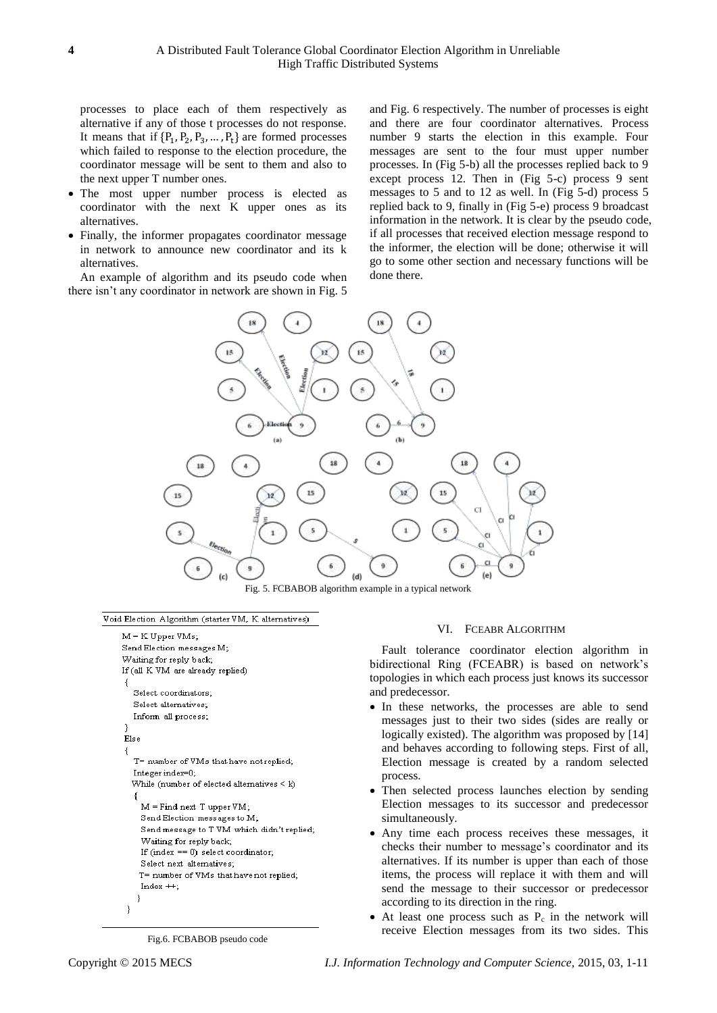processes to place each of them respectively as alternative if any of those t processes do not response. It means that if  $\{P_1, P_2, P_3, \ldots, P_t\}$  are formed processes which failed to response to the election procedure, the coordinator message will be sent to them and also to the next upper T number ones.

- The most upper number process is elected as coordinator with the next K upper ones as its alternatives.
- Finally, the informer propagates coordinator message in network to announce new coordinator and its k alternatives.

An example of algorithm and its pseudo code when there isn't any coordinator in network are shown in Fig. 5

and Fig. 6 respectively. The number of processes is eight and there are four coordinator alternatives. Process number 9 starts the election in this example. Four messages are sent to the four must upper number processes. In (Fig 5-b) all the processes replied back to 9 except process 12. Then in (Fig 5-c) process 9 sent messages to 5 and to 12 as well. In (Fig 5-d) process 5 replied back to 9, finally in (Fig 5-e) process 9 broadcast information in the network. It is clear by the pseudo code, if all processes that received election message respond to the informer, the election will be done; otherwise it will go to some other section and necessary functions will be done there.



Fig. 5. FCBABOB algorithm example in a typical network

#### Void Election Algorithm (starter VM, K alternatives)

```
M = K Upper VMs;
Send Election messages M;
Waiting for reply back;
If (all K VM are already replied)
-{
  Select coordinators;
  Select alternatives:
  Inform all process;
-3
Else
- {
  T= number of VMs that have not replied;
  Integer index=0;
  While (number of elected alternatives \leq k)
    M = Find next T upper VM;
    Send Election messages to M:
    Send message to T VM which didn't replied;
    Waiting for reply back;
    If (index == 0) select coordinator;
    Select next alternatives;
    T= number of VMs that have not replied;
    Index ++;
   -1
-3
```
Fig.6. FCBABOB pseudo code

#### VI. FCEABR ALGORITHM

Fault tolerance coordinator election algorithm in bidirectional Ring (FCEABR) is based on network's topologies in which each process just knows its successor and predecessor.

- In these networks, the processes are able to send messages just to their two sides (sides are really or logically existed). The algorithm was proposed by [14] and behaves according to following steps. First of all, Election message is created by a random selected process.
- Then selected process launches election by sending Election messages to its successor and predecessor simultaneously.
- Any time each process receives these messages, it checks their number to message's coordinator and its alternatives. If its number is upper than each of those items, the process will replace it with them and will send the message to their successor or predecessor according to its direction in the ring.
- At least one process such as  $P_c$  in the network will receive Election messages from its two sides. This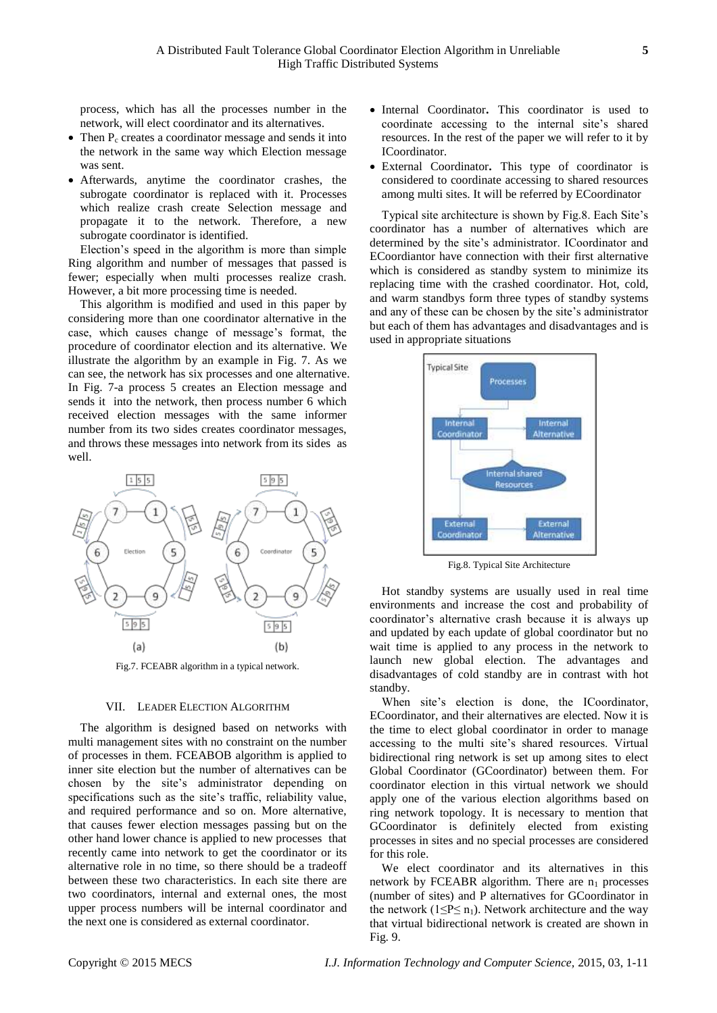process, which has all the processes number in the network, will elect coordinator and its alternatives.

- $\bullet$  Then P<sub>c</sub> creates a coordinator message and sends it into the network in the same way which Election message was sent.
- Afterwards, anytime the coordinator crashes, the subrogate coordinator is replaced with it. Processes which realize crash create Selection message and propagate it to the network. Therefore, a new subrogate coordinator is identified.

Election's speed in the algorithm is more than simple Ring algorithm and number of messages that passed is fewer; especially when multi processes realize crash. However, a bit more processing time is needed.

This algorithm is modified and used in this paper by considering more than one coordinator alternative in the case, which causes change of message's format, the procedure of coordinator election and its alternative. We illustrate the algorithm by an example in Fig. 7. As we can see, the network has six processes and one alternative. In Fig. 7-a process 5 creates an Election message and sends it into the network, then process number 6 which received election messages with the same informer number from its two sides creates coordinator messages, and throws these messages into network from its sides as well.



Fig.7. FCEABR algorithm in a typical network.

# VII. LEADER ELECTION ALGORITHM

The algorithm is designed based on networks with multi management sites with no constraint on the number of processes in them. FCEABOB algorithm is applied to inner site election but the number of alternatives can be chosen by the site's administrator depending on specifications such as the site's traffic, reliability value, and required performance and so on. More alternative, that causes fewer election messages passing but on the other hand lower chance is applied to new processes that recently came into network to get the coordinator or its alternative role in no time, so there should be a tradeoff between these two characteristics. In each site there are two coordinators, internal and external ones, the most upper process numbers will be internal coordinator and the next one is considered as external coordinator.

- Internal Coordinator**.** This coordinator is used to coordinate accessing to the internal site's shared resources. In the rest of the paper we will refer to it by ICoordinator.
- External Coordinator**.** This type of coordinator is considered to coordinate accessing to shared resources among multi sites. It will be referred by ECoordinator

Typical site architecture is shown by Fig.8. Each Site's coordinator has a number of alternatives which are determined by the site's administrator. ICoordinator and ECoordiantor have connection with their first alternative which is considered as standby system to minimize its replacing time with the crashed coordinator. Hot, cold, and warm standbys form three types of standby systems and any of these can be chosen by the site's administrator but each of them has advantages and disadvantages and is used in appropriate situations



Fig.8. Typical Site Architecture

Hot standby systems are usually used in real time environments and increase the cost and probability of coordinator's alternative crash because it is always up and updated by each update of global coordinator but no wait time is applied to any process in the network to launch new global election. The advantages and disadvantages of cold standby are in contrast with hot standby.

When site's election is done, the ICoordinator, ECoordinator, and their alternatives are elected. Now it is the time to elect global coordinator in order to manage accessing to the multi site's shared resources. Virtual bidirectional ring network is set up among sites to elect Global Coordinator (GCoordinator) between them. For coordinator election in this virtual network we should apply one of the various election algorithms based on ring network topology. It is necessary to mention that GCoordinator is definitely elected from existing processes in sites and no special processes are considered for this role.

We elect coordinator and its alternatives in this network by FCEABR algorithm. There are  $n_1$  processes (number of sites) and P alternatives for GCoordinator in the network ( $1 \le P \le n_1$ ). Network architecture and the way that virtual bidirectional network is created are shown in Fig. 9.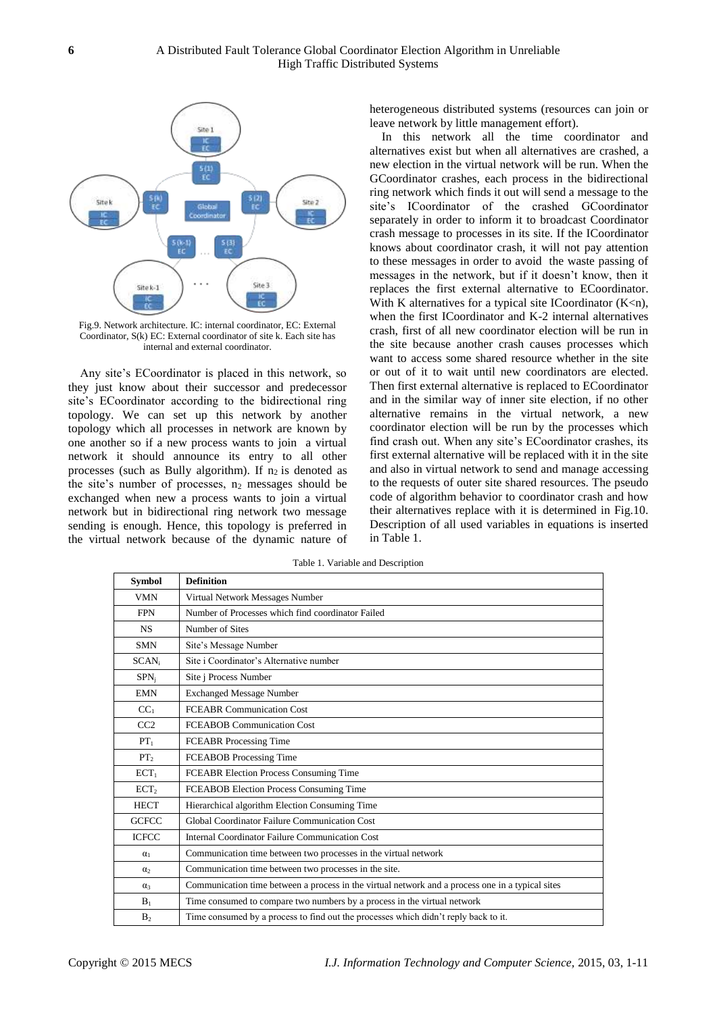

Fig.9. Network architecture. IC: internal coordinator, EC: External Coordinator, S(k) EC: External coordinator of site k. Each site has internal and external coordinator.

Any site's ECoordinator is placed in this network, so they just know about their successor and predecessor site's ECoordinator according to the bidirectional ring topology. We can set up this network by another topology which all processes in network are known by one another so if a new process wants to join a virtual network it should announce its entry to all other processes (such as Bully algorithm). If  $n_2$  is denoted as the site's number of processes,  $n_2$  messages should be exchanged when new a process wants to join a virtual network but in bidirectional ring network two message sending is enough. Hence, this topology is preferred in the virtual network because of the dynamic nature of

heterogeneous distributed systems (resources can join or leave network by little management effort).

In this network all the time coordinator and alternatives exist but when all alternatives are crashed, a new election in the virtual network will be run. When the GCoordinator crashes, each process in the bidirectional ring network which finds it out will send a message to the site's ICoordinator of the crashed GCoordinator separately in order to inform it to broadcast Coordinator crash message to processes in its site. If the ICoordinator knows about coordinator crash, it will not pay attention to these messages in order to avoid the waste passing of messages in the network, but if it doesn't know, then it replaces the first external alternative to ECoordinator. With K alternatives for a typical site ICoordinator  $(K < n)$ , when the first ICoordinator and K-2 internal alternatives crash, first of all new coordinator election will be run in the site because another crash causes processes which want to access some shared resource whether in the site or out of it to wait until new coordinators are elected. Then first external alternative is replaced to ECoordinator and in the similar way of inner site election, if no other alternative remains in the virtual network, a new coordinator election will be run by the processes which find crash out. When any site's ECoordinator crashes, its first external alternative will be replaced with it in the site and also in virtual network to send and manage accessing to the requests of outer site shared resources. The pseudo code of algorithm behavior to coordinator crash and how their alternatives replace with it is determined in Fig.10. Description of all used variables in equations is inserted in Table 1.

| <b>Symbol</b>     | <b>Definition</b>                                                                                |
|-------------------|--------------------------------------------------------------------------------------------------|
| <b>VMN</b>        | Virtual Network Messages Number                                                                  |
| <b>FPN</b>        | Number of Processes which find coordinator Failed                                                |
| <b>NS</b>         | Number of Sites                                                                                  |
| <b>SMN</b>        | Site's Message Number                                                                            |
| SCAN <sub>i</sub> | Site i Coordinator's Alternative number                                                          |
| $SPN_i$           | Site j Process Number                                                                            |
| <b>EMN</b>        | <b>Exchanged Message Number</b>                                                                  |
| CC <sub>1</sub>   | <b>FCEABR Communication Cost</b>                                                                 |
| CC2               | <b>FCEABOB Communication Cost</b>                                                                |
| $PT_1$            | FCEABR Processing Time                                                                           |
| PT <sub>2</sub>   | FCEABOB Processing Time                                                                          |
| ECT <sub>1</sub>  | FCEABR Election Process Consuming Time                                                           |
| ECT <sub>2</sub>  | FCEABOB Election Process Consuming Time                                                          |
| <b>HECT</b>       | Hierarchical algorithm Election Consuming Time                                                   |
| <b>GCFCC</b>      | Global Coordinator Failure Communication Cost                                                    |
| <b>ICFCC</b>      | <b>Internal Coordinator Failure Communication Cost</b>                                           |
| $\alpha_1$        | Communication time between two processes in the virtual network                                  |
| $\alpha$          | Communication time between two processes in the site.                                            |
| $\alpha_3$        | Communication time between a process in the virtual network and a process one in a typical sites |
| $B_1$             | Time consumed to compare two numbers by a process in the virtual network                         |
| B <sub>2</sub>    | Time consumed by a process to find out the processes which didn't reply back to it.              |

Table 1. Variable and Description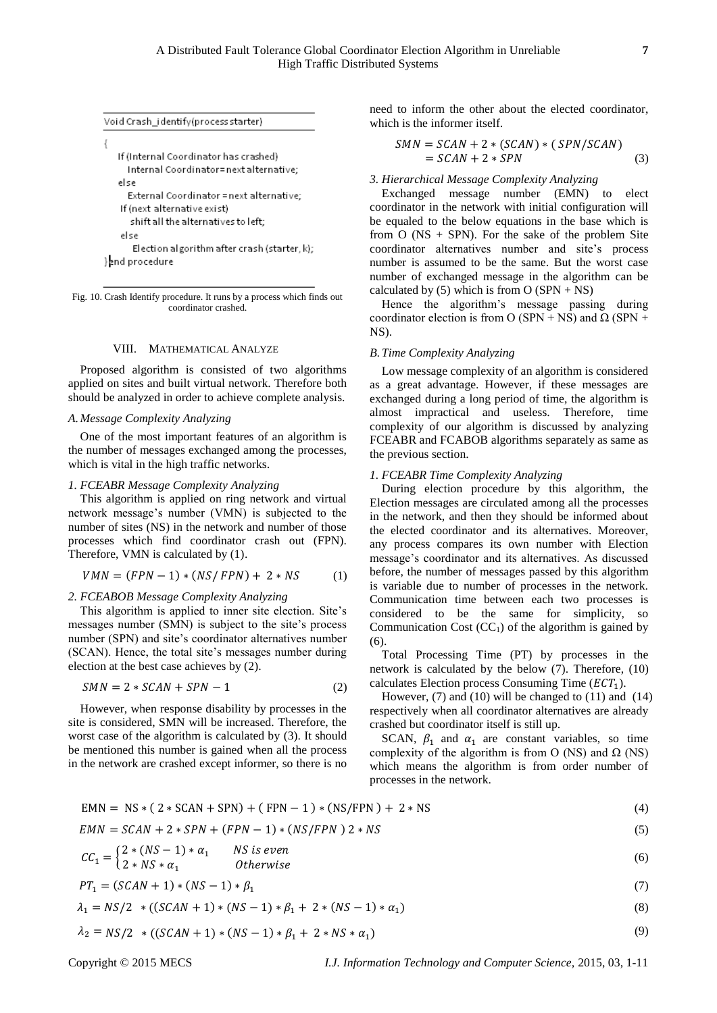| Void Crash_identify(process starter)         |  |  |  |  |  |
|----------------------------------------------|--|--|--|--|--|
|                                              |  |  |  |  |  |
| If (Internal Coordinator has crashed)        |  |  |  |  |  |
| Internal Coordinator=next alternative;       |  |  |  |  |  |
| else                                         |  |  |  |  |  |
| External Coordinator = next alternative;     |  |  |  |  |  |
| If (next alternative exist)                  |  |  |  |  |  |
| shift all the alternatives to left;          |  |  |  |  |  |
| else                                         |  |  |  |  |  |
| Election algorithm after crash (starter, k); |  |  |  |  |  |
| } and procedure                              |  |  |  |  |  |

Fig. 10. Crash Identify procedure. It runs by a process which finds out coordinator crashed.

# VIII. MATHEMATICAL ANALYZE

Proposed algorithm is consisted of two algorithms applied on sites and built virtual network. Therefore both should be analyzed in order to achieve complete analysis.

## *A.Message Complexity Analyzing*

One of the most important features of an algorithm is the number of messages exchanged among the processes, which is vital in the high traffic networks.

## *1. FCEABR Message Complexity Analyzing*

This algorithm is applied on ring network and virtual network message's number (VMN) is subjected to the number of sites (NS) in the network and number of those processes which find coordinator crash out (FPN). Therefore, VMN is calculated by (1).

$$
VMN = (FPN - 1) * (NS / FPN) + 2 * NS \tag{1}
$$

## *2. FCEABOB Message Complexity Analyzing*

This algorithm is applied to inner site election. Site's messages number (SMN) is subject to the site's process number (SPN) and site's coordinator alternatives number (SCAN). Hence, the total site's messages number during election at the best case achieves by (2).

$$
SMN = 2 * SCAN + SPN - 1 \tag{2}
$$

However, when response disability by processes in the site is considered, SMN will be increased. Therefore, the worst case of the algorithm is calculated by (3). It should be mentioned this number is gained when all the process in the network are crashed except informer, so there is no

need to inform the other about the elected coordinator, which is the informer itself.

$$
SMN = SCAN + 2 * (SCAN) * (SPN/SCAN)
$$
  
= SCAN + 2 \* SPN (3)

#### *3. Hierarchical Message Complexity Analyzing*

Exchanged message number (EMN) to elect coordinator in the network with initial configuration will be equaled to the below equations in the base which is from  $O$  (NS + SPN). For the sake of the problem Site coordinator alternatives number and site's process number is assumed to be the same. But the worst case number of exchanged message in the algorithm can be calculated by (5) which is from  $O (SPN + NS)$ 

Hence the algorithm's message passing during coordinator election is from O (SPN + NS) and  $\Omega$  (SPN + NS).

## *B.Time Complexity Analyzing*

Low message complexity of an algorithm is considered as a great advantage. However, if these messages are exchanged during a long period of time, the algorithm is almost impractical and useless. Therefore, time complexity of our algorithm is discussed by analyzing FCEABR and FCABOB algorithms separately as same as the previous section.

#### *1. FCEABR Time Complexity Analyzing*

During election procedure by this algorithm, the Election messages are circulated among all the processes in the network, and then they should be informed about the elected coordinator and its alternatives. Moreover, any process compares its own number with Election message's coordinator and its alternatives. As discussed before, the number of messages passed by this algorithm is variable due to number of processes in the network. Communication time between each two processes is considered to be the same for simplicity, so Communication Cost  $(CC<sub>1</sub>)$  of the algorithm is gained by (6).

Total Processing Time (PT) by processes in the network is calculated by the below (7). Therefore, (10) calculates Election process Consuming Time  $(ECT<sub>1</sub>)$ .

However,  $(7)$  and  $(10)$  will be changed to  $(11)$  and  $(14)$ respectively when all coordinator alternatives are already crashed but coordinator itself is still up.

SCAN,  $\beta_1$  and  $\alpha_1$  are constant variables, so time complexity of the algorithm is from O (NS) and  $Ω$  (NS) which means the algorithm is from order number of processes in the network.

$$
EMN = NS * (2 * SCAN + SPN) + (FPN - 1) * (NS/FPN) + 2 * NS
$$
\n(4)

$$
EMN = SCAN + 2 * SPN + (FPN - 1) * (NS/FPN) 2 * NS \tag{5}
$$

$$
CC_1 = \begin{cases} 2*(NS-1)*\alpha_1 & NS \text{ is even} \\ 2+NS\text{ is even} & \text{Otherwise} \end{cases}
$$
 (6)

$$
CC_1 = \begin{cases} 2 \times \sqrt{NS + \alpha_1} & \text{is is even} \\ 2 \times NS + \alpha_1 & \text{Otherwise} \end{cases}
$$
 (6)

$$
PT_1 = (SCAN + 1) * (NS - 1) * \beta_1 \tag{7}
$$

$$
\lambda_1 = NS/2 \quad * \left( (SCAN + 1) \times (NS - 1) \times \beta_1 + 2 \times (NS - 1) \times \alpha_1 \right) \tag{8}
$$

$$
\lambda_2 = NS/2 \quad * \left( (SCAN + 1) \cdot (NS - 1) \cdot \beta_1 + 2 \cdot NS \cdot \alpha_1 \right) \tag{9}
$$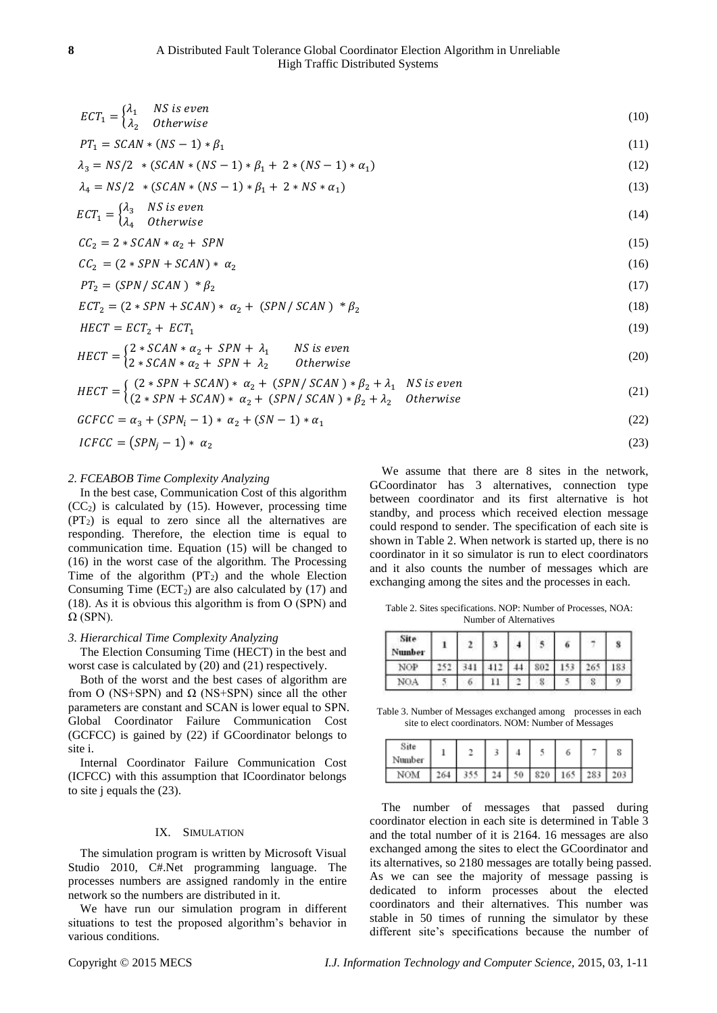| $\textit{ECT}_1 = \begin{cases} \lambda_1 & \textit{NS is even} \\ \lambda_2 & \textit{Otherwise} \end{cases}$                                                                                           | (10) |
|----------------------------------------------------------------------------------------------------------------------------------------------------------------------------------------------------------|------|
| $PT_1 = SCAN * (NS - 1) * \beta_1$                                                                                                                                                                       | (11) |
| $\lambda_3 = NS/2$ * (SCAN * (NS - 1) * $\beta_1$ + 2 * (NS - 1) * $\alpha_1$ )                                                                                                                          | (12) |
| $\lambda_4 = NS/2$ * (SCAN * (NS - 1) * $\beta_1$ + 2 * NS * $\alpha_1$ )                                                                                                                                | (13) |
| $ECT_1 = \begin{cases} \lambda_3 & NS \text{ is even} \\ \lambda_4 & Otherwise \end{cases}$                                                                                                              | (14) |
| $CC_2 = 2 * SCAN * \alpha_2 + SPN$                                                                                                                                                                       | (15) |
| $CC_2 = (2 * SPN + SCAN) * \alpha_2$                                                                                                                                                                     | (16) |
| $PT_2 = (SPN / SCAN) * \beta_2$                                                                                                                                                                          | (17) |
| $\mathcal{E}CT_2 = (2 * SPN + \mathcal{SCAN}) * \alpha_2 + (\mathcal{SPN}/\mathcal{SCAN}) * \beta_2$                                                                                                     | (18) |
| $HECT = ECT_2 + ECT_1$                                                                                                                                                                                   | (19) |
| $HECT = \begin{cases} 2 * SCAN * \alpha_2 + SPN + \lambda_1 & NS \text{ is even} \\ 2 * SCAN * \alpha_2 + SPN + \lambda_2 & Otherwise \end{cases}$                                                       | (20) |
| $HECT = \begin{cases} (2 * SPN + SCAN) * \alpha_2 + (SPN / SCAN) * \beta_2 + \lambda_1 & NS \text{ is even} \\ (2 * SPN + SCAN) * \alpha_2 + (SPN / SCAN) * \beta_2 + \lambda_2 & Otherwise \end{cases}$ | (21) |
|                                                                                                                                                                                                          |      |

$$
GCFCC = \alpha_3 + (SPN_i - 1) \cdot \alpha_2 + (SN - 1) \cdot \alpha_1 \tag{22}
$$

$$
ICFCC = (SPN_j - 1) * \alpha_2 \tag{23}
$$

## *2. FCEABOB Time Complexity Analyzing*

In the best case, Communication Cost of this algorithm  $(CC<sub>2</sub>)$  is calculated by (15). However, processing time  $(PT<sub>2</sub>)$  is equal to zero since all the alternatives are responding. Therefore, the election time is equal to communication time. Equation (15) will be changed to (16) in the worst case of the algorithm. The Processing Time of the algorithm  $(PT_2)$  and the whole Election Consuming Time  $(ECT<sub>2</sub>)$  are also calculated by (17) and (18). As it is obvious this algorithm is from Ο (SPN) and  $\Omega$  (SPN).

# *3. Hierarchical Time Complexity Analyzing*

The Election Consuming Time (HECT) in the best and worst case is calculated by (20) and (21) respectively.

Both of the worst and the best cases of algorithm are from O (NS+SPN) and  $\Omega$  (NS+SPN) since all the other parameters are constant and SCAN is lower equal to SPN. Global Coordinator Failure Communication Cost (GCFCC) is gained by (22) if GCoordinator belongs to site i.

Internal Coordinator Failure Communication Cost (ICFCC) with this assumption that ICoordinator belongs to site j equals the (23).

## IX. SIMULATION

The simulation program is written by Microsoft Visual Studio 2010, C#.Net programming language. The processes numbers are assigned randomly in the entire network so the numbers are distributed in it.

We have run our simulation program in different situations to test the proposed algorithm's behavior in various conditions.

We assume that there are 8 sites in the network, GCoordinator has 3 alternatives, connection type between coordinator and its first alternative is hot standby, and process which received election message could respond to sender. The specification of each site is shown in Table 2. When network is started up, there is no coordinator in it so simulator is run to elect coordinators and it also counts the number of messages which are exchanging among the sites and the processes in each.

Table 2. Sites specifications. NOP: Number of Processes, NOA: Number of Alternatives

| Site<br>Number |  |                     |            | ю   |   | 8            |
|----------------|--|---------------------|------------|-----|---|--------------|
| NOP            |  | $-1.4$ <sup>*</sup> | 802        | 122 |   | $\mathbf{C}$ |
| NOA            |  |                     | <b>JFG</b> |     | o |              |

Table 3. Number of Messages exchanged among processes in each site to elect coordinators. NOM: Number of Messages

| Site<br>Number |                               |  |  |  |
|----------------|-------------------------------|--|--|--|
| NOM            | 264 355 24 50 820 165 283 203 |  |  |  |

The number of messages that passed during coordinator election in each site is determined in Table 3 and the total number of it is 2164. 16 messages are also exchanged among the sites to elect the GCoordinator and its alternatives, so 2180 messages are totally being passed. As we can see the majority of message passing is dedicated to inform processes about the elected coordinators and their alternatives. This number was stable in 50 times of running the simulator by these different site's specifications because the number of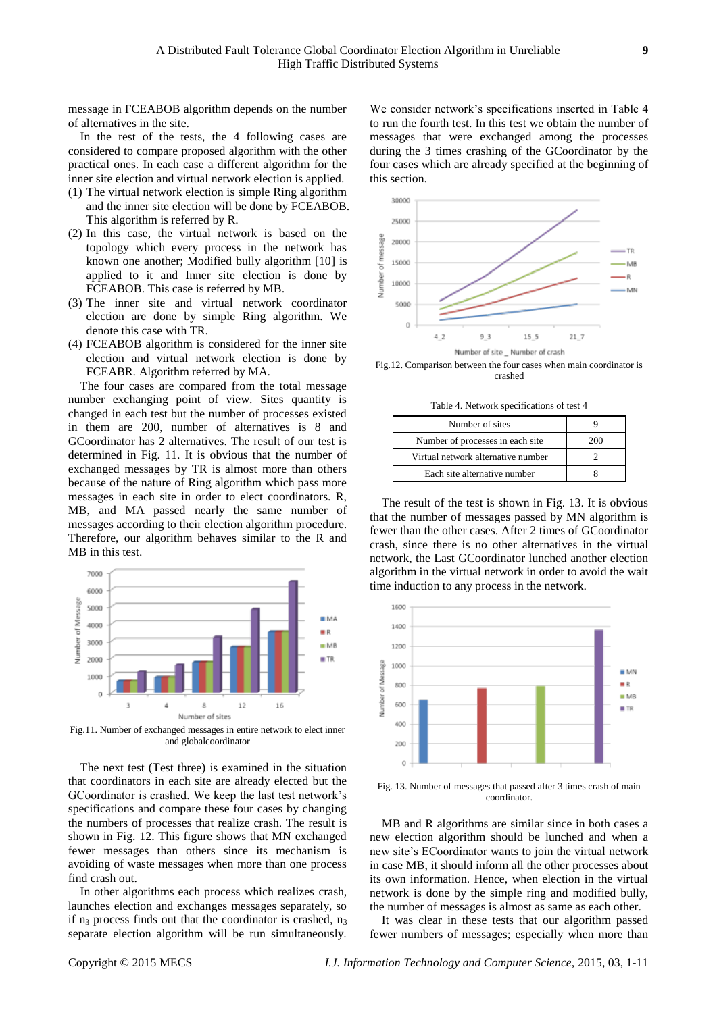message in FCEABOB algorithm depends on the number of alternatives in the site.

In the rest of the tests, the 4 following cases are considered to compare proposed algorithm with the other practical ones. In each case a different algorithm for the inner site election and virtual network election is applied.

- (1) The virtual network election is simple Ring algorithm and the inner site election will be done by FCEABOB. This algorithm is referred by R.
- (2) In this case, the virtual network is based on the topology which every process in the network has known one another; Modified bully algorithm [10] is applied to it and Inner site election is done by FCEABOB. This case is referred by MB.
- (3) The inner site and virtual network coordinator election are done by simple Ring algorithm. We denote this case with TR.
- (4) FCEABOB algorithm is considered for the inner site election and virtual network election is done by FCEABR. Algorithm referred by MA.

The four cases are compared from the total message number exchanging point of view. Sites quantity is changed in each test but the number of processes existed in them are 200, number of alternatives is 8 and GCoordinator has 2 alternatives. The result of our test is determined in Fig. 11. It is obvious that the number of exchanged messages by TR is almost more than others because of the nature of Ring algorithm which pass more messages in each site in order to elect coordinators. R, MB, and MA passed nearly the same number of messages according to their election algorithm procedure. Therefore, our algorithm behaves similar to the R and MB in this test.



Fig.11. Number of exchanged messages in entire network to elect inner and globalcoordinator

The next test (Test three) is examined in the situation that coordinators in each site are already elected but the GCoordinator is crashed. We keep the last test network's specifications and compare these four cases by changing the numbers of processes that realize crash. The result is shown in Fig. 12. This figure shows that MN exchanged fewer messages than others since its mechanism is avoiding of waste messages when more than one process find crash out.

In other algorithms each process which realizes crash, launches election and exchanges messages separately, so if  $n_3$  process finds out that the coordinator is crashed,  $n_3$ separate election algorithm will be run simultaneously.

We consider network's specifications inserted in Table 4 to run the fourth test. In this test we obtain the number of messages that were exchanged among the processes during the 3 times crashing of the GCoordinator by the four cases which are already specified at the beginning of this section.



Fig.12. Comparison between the four cases when main coordinator is crashed

Table 4. Network specifications of test 4

| Number of sites                    |     |
|------------------------------------|-----|
| Number of processes in each site   | 200 |
| Virtual network alternative number |     |
| Each site alternative number       |     |

The result of the test is shown in Fig. 13. It is obvious that the number of messages passed by MN algorithm is fewer than the other cases. After 2 times of GCoordinator crash, since there is no other alternatives in the virtual network, the Last GCoordinator lunched another election algorithm in the virtual network in order to avoid the wait time induction to any process in the network.



Fig. 13. Number of messages that passed after 3 times crash of main coordinator.

MB and R algorithms are similar since in both cases a new election algorithm should be lunched and when a new site's ECoordinator wants to join the virtual network in case MB, it should inform all the other processes about its own information. Hence, when election in the virtual network is done by the simple ring and modified bully, the number of messages is almost as same as each other.

It was clear in these tests that our algorithm passed fewer numbers of messages; especially when more than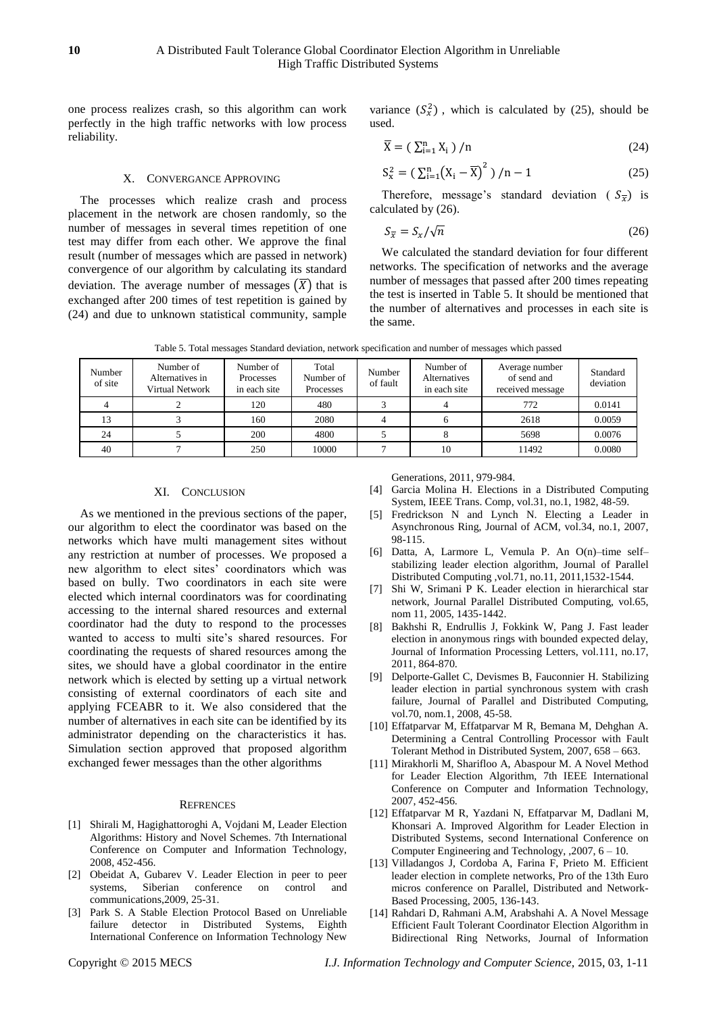one process realizes crash, so this algorithm can work perfectly in the high traffic networks with low process reliability.

## X. CONVERGANCE APPROVING

The processes which realize crash and process placement in the network are chosen randomly, so the number of messages in several times repetition of one test may differ from each other. We approve the final result (number of messages which are passed in network) convergence of our algorithm by calculating its standard deviation. The average number of messages  $(\overline{X})$  that is exchanged after 200 times of test repetition is gained by (24) and due to unknown statistical community, sample

variance  $(S_x^2)$ , which is calculated by (25), should be used.

$$
\overline{X} = \left(\sum_{i=1}^{n} X_i\right) / n \tag{24}
$$

$$
S_{x}^{2} = \left(\sum_{i=1}^{n} (X_{i} - \overline{X})^{2}\right) / n - 1
$$
 (25)

Therefore, message's standard deviation ( $S_{\overline{x}}$ ) is calculated by (26).

$$
S_{\overline{x}} = S_x / \sqrt{n} \tag{26}
$$

We calculated the standard deviation for four different networks. The specification of networks and the average number of messages that passed after 200 times repeating the test is inserted in Table 5. It should be mentioned that the number of alternatives and processes in each site is the same.

| Table 5. Total messages Standard deviation, network specification and number of messages which passed |  |  |  |  |  |
|-------------------------------------------------------------------------------------------------------|--|--|--|--|--|
|                                                                                                       |  |  |  |  |  |
|                                                                                                       |  |  |  |  |  |
|                                                                                                       |  |  |  |  |  |

| Number<br>of site | Number of<br>Alternatives in<br>Virtual Network | Number of<br>Processes<br>in each site | Total<br>Number of<br>Processes | Number<br>of fault | Number of<br>Alternatives<br>in each site | Average number<br>of send and<br>received message | Standard<br>deviation |
|-------------------|-------------------------------------------------|----------------------------------------|---------------------------------|--------------------|-------------------------------------------|---------------------------------------------------|-----------------------|
|                   |                                                 | 120                                    | 480                             |                    |                                           | 772                                               | 0.0141                |
| 13                |                                                 | 160                                    | 2080                            |                    |                                           | 2618                                              | 0.0059                |
| 24                |                                                 | 200                                    | 4800                            |                    |                                           | 5698                                              | 0.0076                |
| 40                |                                                 | 250                                    | 10000                           |                    | 10                                        | 11492                                             | 0.0080                |

## XI. CONCLUSION

As we mentioned in the previous sections of the paper, our algorithm to elect the coordinator was based on the networks which have multi management sites without any restriction at number of processes. We proposed a new algorithm to elect sites' coordinators which was based on bully. Two coordinators in each site were elected which internal coordinators was for coordinating accessing to the internal shared resources and external coordinator had the duty to respond to the processes wanted to access to multi site's shared resources. For coordinating the requests of shared resources among the sites, we should have a global coordinator in the entire network which is elected by setting up a virtual network consisting of external coordinators of each site and applying FCEABR to it. We also considered that the number of alternatives in each site can be identified by its administrator depending on the characteristics it has. Simulation section approved that proposed algorithm exchanged fewer messages than the other algorithms

#### **REFRENCES**

- [1] Shirali M, Hagighattoroghi A, Vojdani M, Leader Election Algorithms: History and Novel Schemes. 7th International Conference on Computer and Information Technology, 2008, 452-456.
- [2] Obeidat A, Gubarev V. Leader Election in peer to peer systems, Siberian conference on control and communications,2009, 25-31.
- [3] Park S. A Stable Election Protocol Based on Unreliable failure detector in Distributed Systems, Eighth International Conference on Information Technology New

Generations, 2011, 979-984.

- [4] Garcia Molina H. Elections in a Distributed Computing System, IEEE Trans. Comp, vol.31, no.1, 1982, 48-59.
- [5] Fredrickson N and Lynch N. Electing a Leader in Asynchronous Ring, Journal of ACM, vol.34, no.1, 2007, 98-115.
- [6] Datta, A, Larmore L, Vemula P. An O(n)–time self– stabilizing leader election algorithm, Journal of Parallel Distributed Computing ,vol.71, no.11, 2011,1532-1544.
- [7] Shi W, Srimani P K. Leader election in hierarchical star network, Journal Parallel Distributed Computing, vol.65, nom 11, 2005, 1435-1442.
- [8] Bakhshi R, Endrullis J, Fokkink W, Pang J. Fast leader election in anonymous rings with bounded expected delay, Journal of Information Processing Letters, vol.111, no.17, 2011, 864-870.
- [9] Delporte-Gallet C, Devismes B, Fauconnier H. Stabilizing leader election in partial synchronous system with crash failure, Journal of Parallel and Distributed Computing, vol.70, nom.1, 2008, 45-58.
- [10] Effatparvar M, Effatparvar M R, Bemana M, Dehghan A. Determining a Central Controlling Processor with Fault Tolerant Method in Distributed System, 2007, 658 – 663.
- [11] Mirakhorli M, Sharifloo A, Abaspour M. A Novel Method for Leader Election Algorithm, 7th IEEE International Conference on Computer and Information Technology, 2007, 452-456.
- [12] Effatparvar M R, Yazdani N, Effatparvar M, Dadlani M, Khonsari A. Improved Algorithm for Leader Election in Distributed Systems, second International Conference on Computer Engineering and Technology, ,2007, 6 – 10.
- [13] Villadangos J, Cordoba A, Farina F, Prieto M. Efficient leader election in complete networks, Pro of the 13th Euro micros conference on Parallel, Distributed and Network-Based Processing, 2005, 136-143.
- [14] Rahdari D, Rahmani A.M, Arabshahi A. A Novel Message Efficient Fault Tolerant Coordinator Election Algorithm in Bidirectional Ring Networks, Journal of Information